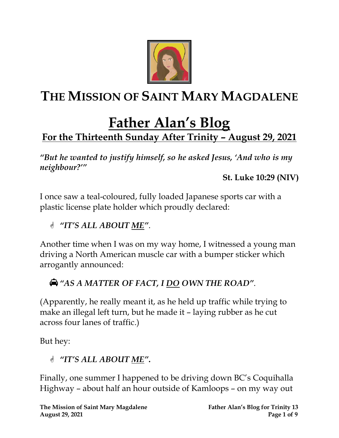

# **THE MISSION OF SAINT MARY MAGDALENE**

## **Father Alan's Blog For the Thirteenth Sunday After Trinity – August 29, 2021**

*"But he wanted to justify himself, so he asked Jesus, 'And who is my neighbour?'"*

**St. Luke 10:29 (NIV)**

I once saw a teal-coloured, fully loaded Japanese sports car with a plastic license plate holder which proudly declared:

#### *"IT'S ALL ABOUT ME"*.

Another time when I was on my way home, I witnessed a young man driving a North American muscle car with a bumper sticker which arrogantly announced:

## *"AS A MATTER OF FACT, I DO OWN THE ROAD"*.

(Apparently, he really meant it, as he held up traffic while trying to make an illegal left turn, but he made it – laying rubber as he cut across four lanes of traffic.)

But hey:

*"IT'S ALL ABOUT ME"***.**

Finally, one summer I happened to be driving down BC's Coquihalla Highway – about half an hour outside of Kamloops – on my way out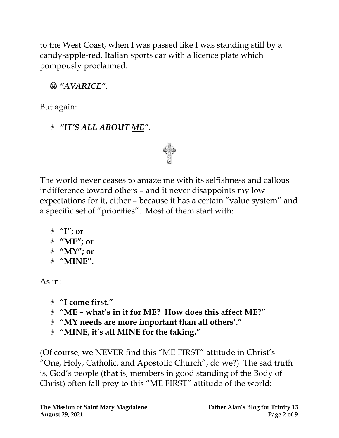to the West Coast, when I was passed like I was standing still by a candy-apple-red, Italian sports car with a licence plate which pompously proclaimed:

*"AVARICE"*.

But again:

*"IT'S ALL ABOUT ME"***.**

The world never ceases to amaze me with its selfishness and callous indifference toward others – and it never disappoints my low expectations for it, either – because it has a certain "value system" and a specific set of "priorities". Most of them start with:

 **"I"; or "ME"; or "MY"; or "MINE".**

As in:

- **"I come first."**
- **"ME – what's in it for ME? How does this affect ME?"**
- **"MY needs are more important than all others'."**
- **"MINE, it's all MINE for the taking."**

(Of course, we NEVER find this "ME FIRST" attitude in Christ's "One, Holy, Catholic, and Apostolic Church", do we?) The sad truth is, God's people (that is, members in good standing of the Body of Christ) often fall prey to this "ME FIRST" attitude of the world: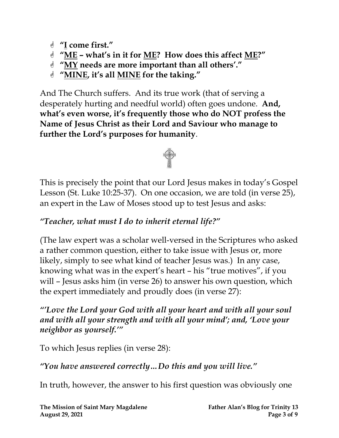- **"I come first."**
- **"ME – what's in it for ME? How does this affect ME?"**
- **"MY needs are more important than all others'."**
- **"MINE, it's all MINE for the taking."**

And The Church suffers. And its true work (that of serving a desperately hurting and needful world) often goes undone. **And, what's even worse, it's frequently those who do NOT profess the Name of Jesus Christ as their Lord and Saviour who manage to further the Lord's purposes for humanity**.



This is precisely the point that our Lord Jesus makes in today's Gospel Lesson (St. Luke 10:25-37). On one occasion, we are told (in verse 25), an expert in the Law of Moses stood up to test Jesus and asks:

#### *"Teacher, what must I do to inherit eternal life?"*

(The law expert was a scholar well-versed in the Scriptures who asked a rather common question, either to take issue with Jesus or, more likely, simply to see what kind of teacher Jesus was.) In any case, knowing what was in the expert's heart – his "true motives", if you will – Jesus asks him (in verse 26) to answer his own question, which the expert immediately and proudly does (in verse 27):

#### *"'Love the Lord your God with all your heart and with all your soul and with all your strength and with all your mind'; and, 'Love your neighbor as yourself.'"*

To which Jesus replies (in verse 28):

*"You have answered correctly…Do this and you will live."*

In truth, however, the answer to his first question was obviously one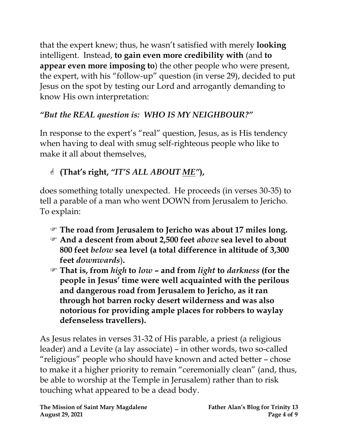that the expert knew; thus, he wasn't satisfied with merely **looking** intelligent. Instead, **to gain even more credibility with** (and **to appear even more imposing to**) the other people who were present, the expert, with his "follow-up" question (in verse 29), decided to put Jesus on the spot by testing our Lord and arrogantly demanding to know His own interpretation:

#### *"But the REAL question is: WHO IS MY NEIGHBOUR?"*

In response to the expert's "real" question, Jesus, as is His tendency when having to deal with smug self-righteous people who like to make it all about themselves,

## **(That's right,** *"IT'S ALL ABOUT ME"***),**

does something totally unexpected. He proceeds (in verses 30-35) to tell a parable of a man who went DOWN from Jerusalem to Jericho. To explain:

- **The road from Jerusalem to Jericho was about 17 miles long.**
- **And a descent from about 2,500 feet** *above* **sea level to about 800 feet** *below* **sea level (a total difference in altitude of 3,300 feet** *downwards*)**.**
- **That is, from** *high* **to** *low* **– and from** *light* **to** *darkness* **(for the people in Jesus' time were well acquainted with the perilous and dangerous road from Jerusalem to Jericho, as it ran through hot barren rocky desert wilderness and was also notorious for providing ample places for robbers to waylay defenseless travellers).**

As Jesus relates in verses 31-32 of His parable, a priest (a religious leader) and a Levite (a lay associate) – in other words, two so-called "religious" people who should have known and acted better – chose to make it a higher priority to remain "ceremonially clean" (and, thus, be able to worship at the Temple in Jerusalem) rather than to risk touching what appeared to be a dead body.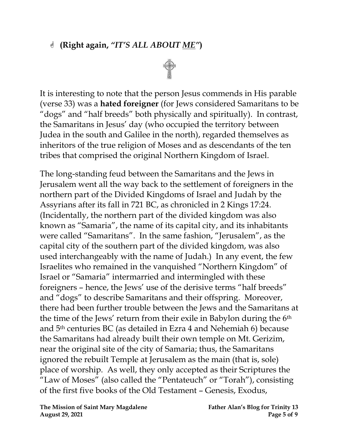#### **(Right again,** *"IT'S ALL ABOUT ME"***)**



It is interesting to note that the person Jesus commends in His parable (verse 33) was a **hated foreigner** (for Jews considered Samaritans to be "dogs" and "half breeds" both physically and spiritually). In contrast, the Samaritans in Jesus' day (who occupied the territory between Judea in the south and Galilee in the north), regarded themselves as inheritors of the true religion of Moses and as descendants of the ten tribes that comprised the original Northern Kingdom of Israel.

The long-standing feud between the Samaritans and the Jews in Jerusalem went all the way back to the settlement of foreigners in the northern part of the Divided Kingdoms of Israel and Judah by the Assyrians after its fall in 721 BC, as chronicled in 2 Kings 17:24. (Incidentally, the northern part of the divided kingdom was also known as "Samaria", the name of its capital city, and its inhabitants were called "Samaritans". In the same fashion, "Jerusalem", as the capital city of the southern part of the divided kingdom, was also used interchangeably with the name of Judah.) In any event, the few Israelites who remained in the vanquished "Northern Kingdom" of Israel or "Samaria" intermarried and intermingled with these foreigners – hence, the Jews' use of the derisive terms "half breeds" and "dogs" to describe Samaritans and their offspring. Moreover, there had been further trouble between the Jews and the Samaritans at the time of the Jews' return from their exile in Babylon during the 6th and 5th centuries BC (as detailed in Ezra 4 and Nehemiah 6) because the Samaritans had already built their own temple on Mt. Gerizim, near the original site of the city of Samaria; thus, the Samaritans ignored the rebuilt Temple at Jerusalem as the main (that is, sole) place of worship. As well, they only accepted as their Scriptures the "Law of Moses" (also called the "Pentateuch" or "Torah"), consisting of the first five books of the Old Testament – Genesis, Exodus,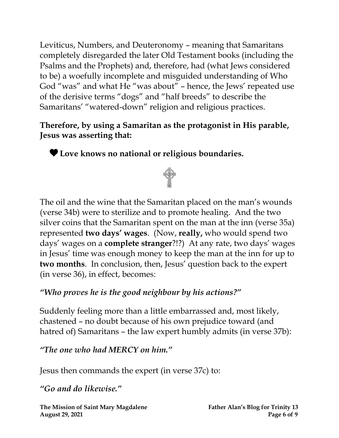Leviticus, Numbers, and Deuteronomy – meaning that Samaritans completely disregarded the later Old Testament books (including the Psalms and the Prophets) and, therefore, had (what Jews considered to be) a woefully incomplete and misguided understanding of Who God "was" and what He "was about" – hence, the Jews' repeated use of the derisive terms "dogs" and "half breeds" to describe the Samaritans' "watered-down" religion and religious practices.

#### **Therefore, by using a Samaritan as the protagonist in His parable, Jesus was asserting that:**

**Love knows no national or religious boundaries.**



The oil and the wine that the Samaritan placed on the man's wounds (verse 34b) were to sterilize and to promote healing. And the two silver coins that the Samaritan spent on the man at the inn (verse 35a) represented **two days' wages**. (Now, **really,** who would spend two days' wages on a **complete stranger**?!?) At any rate, two days' wages in Jesus' time was enough money to keep the man at the inn for up to **two months**. In conclusion, then, Jesus' question back to the expert (in verse 36), in effect, becomes:

#### *"Who proves he is the good neighbour by his actions?"*

Suddenly feeling more than a little embarrassed and, most likely, chastened – no doubt because of his own prejudice toward (and hatred of) Samaritans – the law expert humbly admits (in verse 37b):

*"The one who had MERCY on him."*

Jesus then commands the expert (in verse 37c) to:

*"Go and do likewise."*

**The Mission of Saint Mary Magdalene Father Alan's Blog for Trinity 13 August 29, 2021 Page 6** of 9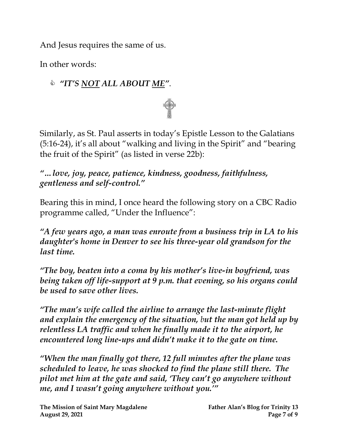And Jesus requires the same of us.

In other words:

## *"IT'S NOT ALL ABOUT ME"*.

Similarly, as St. Paul asserts in today's Epistle Lesson to the Galatians (5:16-24), it's all about "walking and living in the Spirit" and "bearing the fruit of the Spirit" (as listed in verse 22b):

*"…love, joy, peace, patience, kindness, goodness, faithfulness, gentleness and self-control."*

Bearing this in mind, I once heard the following story on a CBC Radio programme called, "Under the Influence":

*"A few years ago, a man was enroute from a business trip in LA to his daughter's home in Denver to see his three-year old grandson for the last time.*

*"The boy, beaten into a coma by his mother's live-in boyfriend, was being taken off life-support at 9 p.m. that evening, so his organs could be used to save other lives.*

*"The man's wife called the airline to arrange the last-minute flight and explain the emergency of the situation, but the man got held up by relentless LA traffic and when he finally made it to the airport, he encountered long line-ups and didn't make it to the gate on time.*

*"When the man finally got there, 12 full minutes after the plane was scheduled to leave, he was shocked to find the plane still there. The pilot met him at the gate and said, 'They can't go anywhere without me, and I wasn't going anywhere without you.'"*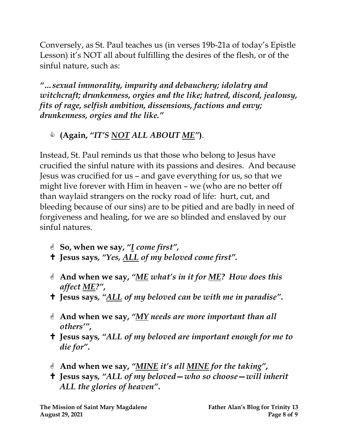Conversely, as St. Paul teaches us (in verses 19b-21a of today's Epistle Lesson) it's NOT all about fulfilling the desires of the flesh, or of the sinful nature, such as:

*"…sexual immorality, impurity and debauchery; idolatry and witchcraft; drunkenness, orgies and the like; hatred, discord, jealousy, fits of rage, selfish ambition, dissensions, factions and envy; drunkenness, orgies and the like."*

## **(Again,** *"IT'S NOT ALL ABOUT ME"***)**.

Instead, St. Paul reminds us that those who belong to Jesus have crucified the sinful nature with its passions and desires. And because Jesus was crucified for us – and gave everything for us, so that we might live forever with Him in heaven – we (who are no better off than waylaid strangers on the rocky road of life: hurt, cut, and bleeding because of our sins) are to be pitied and are badly in need of forgiveness and healing, for we are so blinded and enslaved by our sinful natures.

- **So, when we say,** *"I come first" ,*
- **Jesus says***, "Yes, ALL of my beloved come first".*
- **And when we say,** *"ME what's in it for ME? How does this affect ME?"***,**
- **Jesus says***, "ALL of my beloved can be with me in paradise"***.**
- **And when we say,** *"MY needs are more important than all others'"* **,**
- **Jesus says***, "ALL of my beloved are important enough for me to die for"***.**
- **And when we say,** *"MINE it's all MINE for the taking"* **,**
- **Jesus says***, "ALL of my beloved—who so choose—will inherit ALL the glories of heaven"***.**